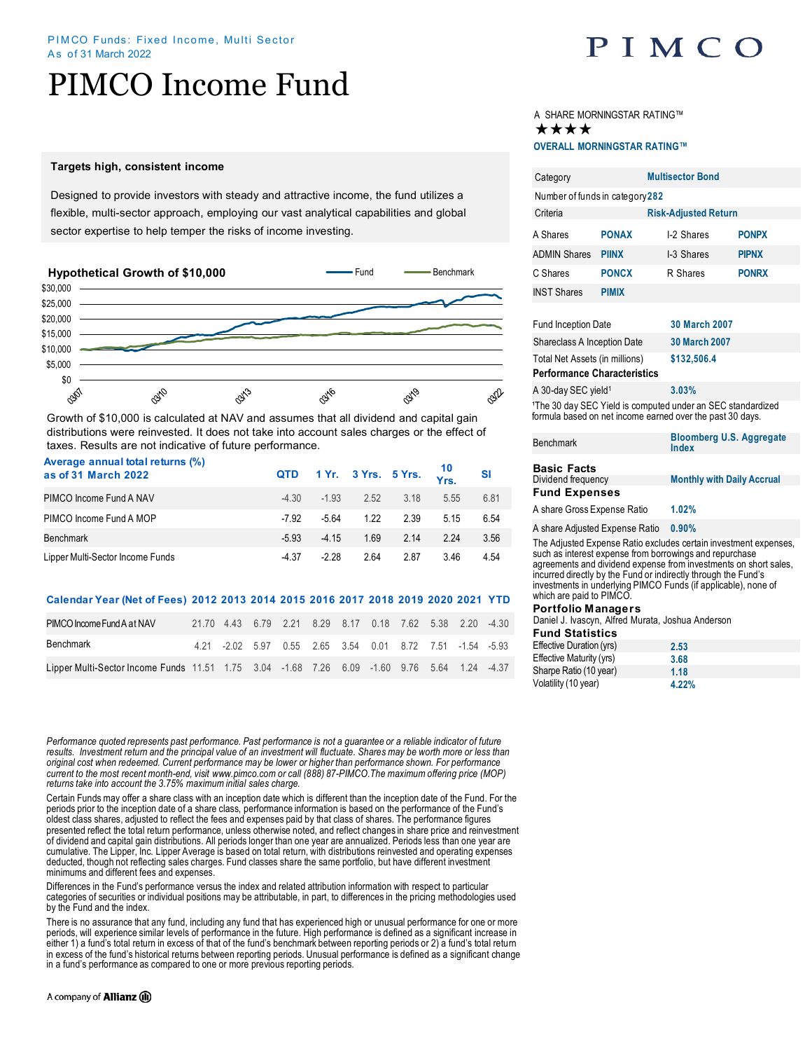# PIMCO Income Fund

## **Targets high, consistent income**

Designed to provide investors with steady and attractive income, the fund utilizes a flexible, multi-sector approach, employing our vast analytical capabilities and global sector expertise to help temper the risks of income investing.



Growth of \$10,000 is calculated at NAV and assumes that all dividend and capital gain distributions were reinvested. It does not take into account sales charges or the effect of taxes. Results are not indicative of future performance.

| Average annual total returns (%)<br>as of 31 March 2022 |         |        |      |      | QTD 1 Yr. 3 Yrs. 5 Yrs. $\frac{10}{Yrs}$ SI |      |
|---------------------------------------------------------|---------|--------|------|------|---------------------------------------------|------|
| PIMCO Income Fund A NAV                                 | $-4.30$ | $-193$ | 2.52 | 3.18 | 5.55                                        | 6.81 |
| PIMCO Income Fund A MOP                                 | -7.92   | -5.64  | 1.22 | 2.39 | 515                                         | 6.54 |
| Benchmark                                               | $-5.93$ | $-415$ | 1.69 | 2.14 | 224                                         | 3.56 |
| Lipper Multi-Sector Income Funds                        | $-4.37$ | -2.28  | 2.64 | 2.87 | 346                                         | 4.54 |

## **Calendar Year (Net of Fees) 2012 2013 2014 2015 2016 2017 2018 2019 2020 2021 YTD**

| PIMCO Income Fund A at NAV                                                                  |  |  |  | 21.70  4.43  6.79  2.21  8.29  8.17  0.18  7.62  5.38  2.20  -4.30 |  |  |
|---------------------------------------------------------------------------------------------|--|--|--|--------------------------------------------------------------------|--|--|
| Benchmark                                                                                   |  |  |  | 4.21 -2.02 5.97 0.55 2.65 3.54 0.01 8.72 7.51 -1.54 -5.93          |  |  |
| Lipper Multi-Sector Income Funds 11.51 1.75 3.04 -1.68 7.26 6.09 -1.60 9.76 5.64 1.24 -4.37 |  |  |  |                                                                    |  |  |

*Performance quoted represents past performance. Past performance is not a guarantee or a reliable indicator of future results. Investment return and the principal value of an investment will fluctuate. Shares may be worth more or less than original cost when redeemed. Current performance may be lower or higher than performance shown. For performance current to the most recent month-end, visit www.pimco.com or call (888) 87-PIMCO.The maximum offering price (MOP) returns take into account the 3.75% maximum initial sales charge.*

Certain Funds may offer a share class with an inception date which is different than the inception date of the Fund. For the periods prior to the inception date of a share class, performance information is based on the performance of the Fund's oldest class shares, adjusted to reflect the fees and expenses paid by that class of shares. The performance figures presented reflect the total return performance, unless otherwise noted, and reflect changes in share price and reinvestment of dividend and capital gain distributions. All periods longer than one year are annualized. Periods less than one year are cumulative. The Lipper, Inc. Lipper Average is based on total return, with distributions reinvested and operating expenses deducted, though not reflecting sales charges. Fund classes share the same portfolio, but have different investment minimums and different fees and expenses.

Differences in the Fund's performance versus the index and related attribution information with respect to particular categories of securities or individual positions may be attributable, in part, to differences in the pricing methodologies used by the Fund and the index.

There is no assurance that any fund, including any fund that has experienced high or unusual performance for one or more periods, will experience similar levels of performance in the future. High performance is defined as a significant increase in either 1) a fund's total return in excess of that of the fund's benchmark between reporting periods or 2) a fund's total return in excess of the fund's historical returns between reporting periods. Unusual performance is defined as a significant change in a fund's performance as compared to one or more previous reporting periods.

## A company of **Allianz** (ii)



# A SHARE MORNINGSTAR RATING™ ★★★★

## **OVERALL MORNINGSTAR RATING™**

| Category                                                                                                                                                                                                                                                          | <b>Multisector Bond</b> |               |                                   |  |  |  |
|-------------------------------------------------------------------------------------------------------------------------------------------------------------------------------------------------------------------------------------------------------------------|-------------------------|---------------|-----------------------------------|--|--|--|
| Number of funds in category 282                                                                                                                                                                                                                                   |                         |               |                                   |  |  |  |
| Criteria<br><b>Risk-Adjusted Return</b>                                                                                                                                                                                                                           |                         |               |                                   |  |  |  |
| A Shares                                                                                                                                                                                                                                                          | <b>PONAX</b>            | I-2 Shares    | <b>PONPX</b>                      |  |  |  |
| <b>ADMIN Shares</b>                                                                                                                                                                                                                                               | <b>PIINX</b>            | I-3 Shares    | <b>PIPNX</b>                      |  |  |  |
| C Shares                                                                                                                                                                                                                                                          | <b>PONCX</b>            | R Shares      | <b>PONRX</b>                      |  |  |  |
| <b>INST Shares</b>                                                                                                                                                                                                                                                | <b>PIMIX</b>            |               |                                   |  |  |  |
|                                                                                                                                                                                                                                                                   |                         |               |                                   |  |  |  |
| <b>Fund Inception Date</b>                                                                                                                                                                                                                                        |                         | 30 March 2007 |                                   |  |  |  |
| <b>Shareclass A Inception Date</b>                                                                                                                                                                                                                                |                         | 30 March 2007 |                                   |  |  |  |
| Total Net Assets (in millions)<br>\$132,506.4<br><b>Performance Characteristics</b>                                                                                                                                                                               |                         |               |                                   |  |  |  |
| A 30-day SEC yield <sup>1</sup>                                                                                                                                                                                                                                   |                         | 3.03%         |                                   |  |  |  |
| <sup>1</sup> The 30 day SEC Yield is computed under an SEC standardized<br>formula based on net income earned over the past 30 days.                                                                                                                              |                         |               |                                   |  |  |  |
| Benchmark                                                                                                                                                                                                                                                         |                         | Index         | <b>Bloomberg U.S. Aggregate</b>   |  |  |  |
| <b>Basic Facts</b>                                                                                                                                                                                                                                                |                         |               |                                   |  |  |  |
| Dividend frequency                                                                                                                                                                                                                                                |                         |               | <b>Monthly with Daily Accrual</b> |  |  |  |
| <b>Fund Expenses</b>                                                                                                                                                                                                                                              |                         |               |                                   |  |  |  |
| A share Gross Expense Ratio                                                                                                                                                                                                                                       |                         | 1.02%         |                                   |  |  |  |
| A share Adjusted Expense Ratio<br>0.90%                                                                                                                                                                                                                           |                         |               |                                   |  |  |  |
| The Adjusted Expense Ratio excludes certain investment expenses,<br>such as interest expense from borrowings and repurchase<br>agreements and dividend expense from investments on short sales,<br>incurred directly by the Fund or indirectly through the Fund's |                         |               |                                   |  |  |  |

investments in underlying PIMCO Funds (if applicable), none of which are paid to PIMCO.

#### **Portfolio Managers**

Daniel J. Ivascyn, Alfred Murata, Joshua Anderson

| <b>Fund Statistics</b> |  |
|------------------------|--|
|                        |  |